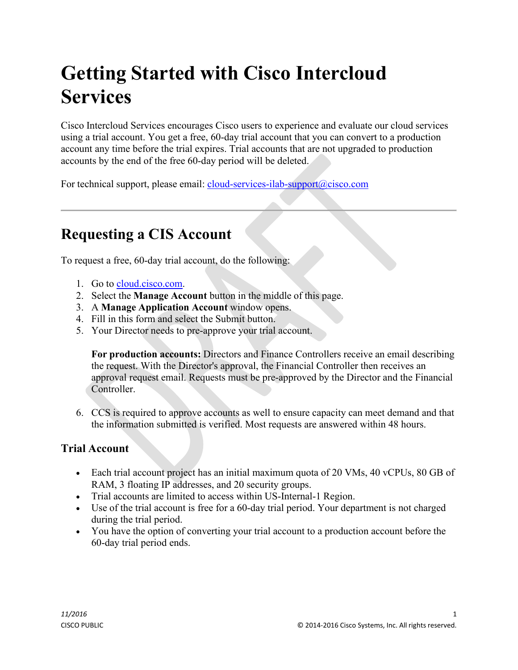# **Getting Started with Cisco Intercloud Services**

Cisco Intercloud Services encourages Cisco users to experience and evaluate our cloud services using a trial account. You get a free, 60-day trial account that you can convert to a production account any time before the trial expires. Trial accounts that are not upgraded to production accounts by the end of the free 60-day period will be deleted.

For technical support, please email: [cloud-services-ilab-support@cisco.com](mailto:cloud-services-ilab-support@cisco.com)

# **Requesting a CIS Account**

To request a free, 60-day trial account, do the following:

- 1. Go to [cloud.cisco.com.](https://cloud.cisco.com/RequestCenter/servicecatalog/servicecatalog.do?route=home)
- 2. Select the **Manage Account** button in the middle of this page.
- 3. A **Manage Application Account** window opens.
- 4. Fill in this form and select the Submit button.
- 5. Your Director needs to pre-approve your trial account.

**For production accounts:** Directors and Finance Controllers receive an email describing the request. With the Director's approval, the Financial Controller then receives an approval request email. Requests must be pre-approved by the Director and the Financial Controller.

6. CCS is required to approve accounts as well to ensure capacity can meet demand and that the information submitted is verified. Most requests are answered within 48 hours.

#### **Trial Account**

- Each trial account project has an initial maximum quota of 20 VMs, 40 vCPUs, 80 GB of RAM, 3 floating IP addresses, and 20 security groups.
- Trial accounts are limited to access within US-Internal-1 Region.
- Use of the trial account is free for a 60-day trial period. Your department is not charged during the trial period.
- You have the option of converting your trial account to a production account before the 60-day trial period ends.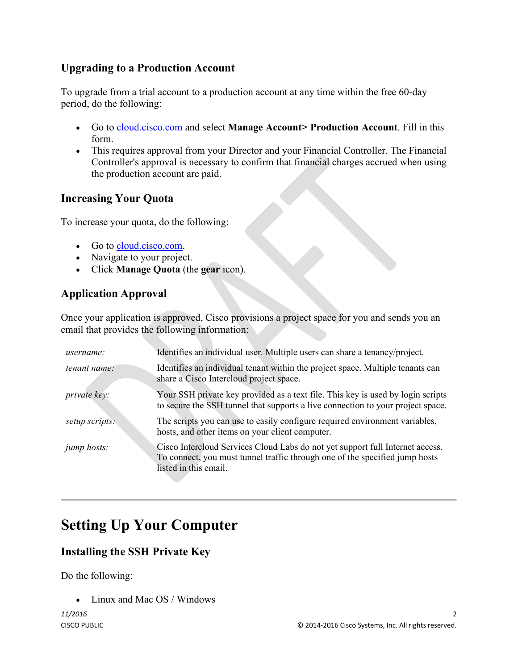#### **Upgrading to a Production Account**

To upgrade from a trial account to a production account at any time within the free 60-day period, do the following:

- Go to [cloud.cisco.com](https://cloud.cisco.com/RequestCenter/servicecatalog/servicecatalog.do?route=home) and select **Manage Account> Production Account**. Fill in this form.
- This requires approval from your Director and your Financial Controller. The Financial Controller's approval is necessary to confirm that financial charges accrued when using the production account are paid.

#### **Increasing Your Quota**

To increase your quota, do the following:

- Go to [cloud.cisco.com.](https://cloud.cisco.com/RequestCenter/servicecatalog/servicecatalog.do?route=home)
- Navigate to your project.
- Click **Manage Quota** (the **gear** icon).

## **Application Approval**

Once your application is approved, Cisco provisions a project space for you and sends you an email that provides the following information:

| <i>username:</i>    | Identifies an individual user. Multiple users can share a tenancy/project.                                                                                                            |
|---------------------|---------------------------------------------------------------------------------------------------------------------------------------------------------------------------------------|
| <i>tenant name:</i> | Identifies an individual tenant within the project space. Multiple tenants can<br>share a Cisco Intercloud project space.                                                             |
| <i>private key:</i> | Your SSH private key provided as a text file. This key is used by login scripts<br>to secure the SSH tunnel that supports a live connection to your project space.                    |
| setup scripts:      | The scripts you can use to easily configure required environment variables,<br>hosts, and other items on your client computer.                                                        |
| <i>jump hosts:</i>  | Cisco Intercloud Services Cloud Labs do not yet support full Internet access.<br>To connect, you must tunnel traffic through one of the specified jump hosts<br>listed in this email. |

## **Setting Up Your Computer**

## **Installing the SSH Private Key**

Do the following:

• Linux and Mac OS / Windows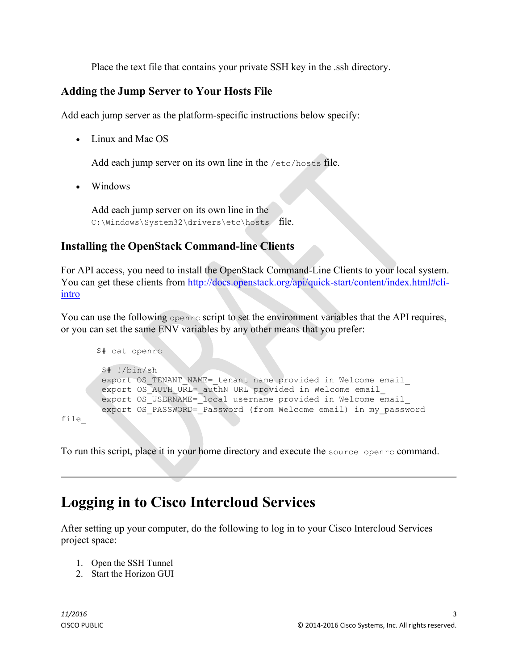Place the text file that contains your private SSH key in the .ssh directory.

#### **Adding the Jump Server to Your Hosts File**

Add each jump server as the platform-specific instructions below specify:

• Linux and Mac OS

Add each jump server on its own line in the /etc/hosts file.

• Windows

Add each jump server on its own line in the C:\Windows\System32\drivers\etc\hosts file.

#### **Installing the OpenStack Command-line Clients**

For API access, you need to install the OpenStack Command-Line Clients to your local system. You can get these clients from [http://docs.openstack.org/api/quick-start/content/index.html#cli](http://docs.openstack.org/api/quick-start/content/index.html#cli-intro)[intro](http://docs.openstack.org/api/quick-start/content/index.html#cli-intro)

You can use the following openrc script to set the environment variables that the API requires, or you can set the same ENV variables by any other means that you prefer:

```
$# cat openrc
        $# !/bin/sh
        export OS TENANT NAME= tenant name provided in Welcome email
        export OS_AUTH_URL=_authN URL provided in Welcome email
       export OS_USERNAME=_local username provided in Welcome email
        export OS_PASSWORD=_Password (from Welcome email) in my_password
file_
```
To run this script, place it in your home directory and execute the source openrc command.

# **Logging in to Cisco Intercloud Services**

After setting up your computer, do the following to log in to your Cisco Intercloud Services project space:

- 1. Open the SSH Tunnel
- 2. Start the Horizon GUI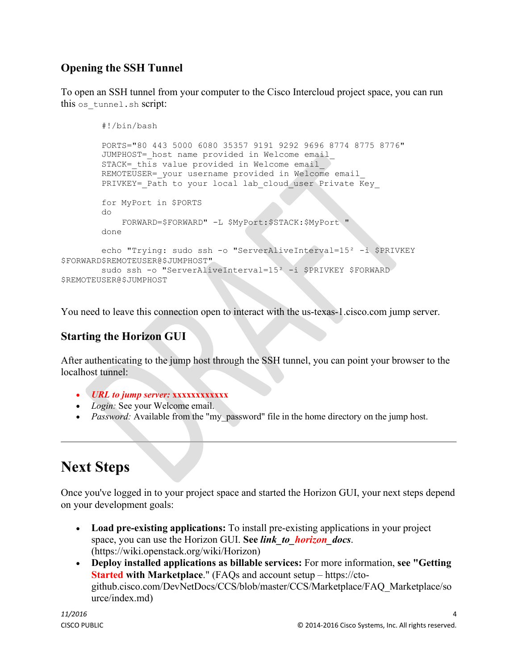## **Opening the SSH Tunnel**

To open an SSH tunnel from your computer to the Cisco Intercloud project space, you can run this os tunnel.sh script:

```
#!/bin/bash
        PORTS="80 443 5000 6080 35357 9191 9292 9696 8774 8775 8776"
        JUMPHOST= host name provided in Welcome email
        STACK= this value provided in Welcome email
        REMOTEUSER= your username provided in Welcome email
        PRIVKEY= Path to your local lab cloud user Private Key
        for MyPort in $PORTS
        do
            FORWARD=$FORWARD" -L $MyPort:$STACK:$MyPort "
        done
        echo "Trying: sudo ssh -o "ServerAliveInterval=15² -i $PRIVKEY
$FORWARD$REMOTEUSER@$JUMPHOST"
        sudo ssh -o "ServerAliveInterval=15<sup>2</sup> -i $PRIVKEY $FORWARD
$REMOTEUSER@$JUMPHOST
```
You need to leave this connection open to interact with the us-texas-1.cisco.com jump server.

## **Starting the Horizon GUI**

After authenticating to the jump host through the SSH tunnel, you can point your browser to the localhost tunnel:

- *URL to jump server:* **xxxxxxxxxxxx**
- *Login:* See your Welcome email.
- *Password:* Available from the "my password" file in the home directory on the jump host.

# **Next Steps**

Once you've logged in to your project space and started the Horizon GUI, your next steps depend on your development goals:

- **Load pre-existing applications:** To install pre-existing applications in your project space, you can use the Horizon GUI. **See** *link\_to\_horizon\_docs*. (https://wiki.openstack.org/wiki/Horizon)
- **Deploy installed applications as billable services:** For more information, **see "Getting Started with Marketplace**." (FAQs and account setup – https://ctogithub.cisco.com/DevNetDocs/CCS/blob/master/CCS/Marketplace/FAQ\_Marketplace/so urce/index.md)